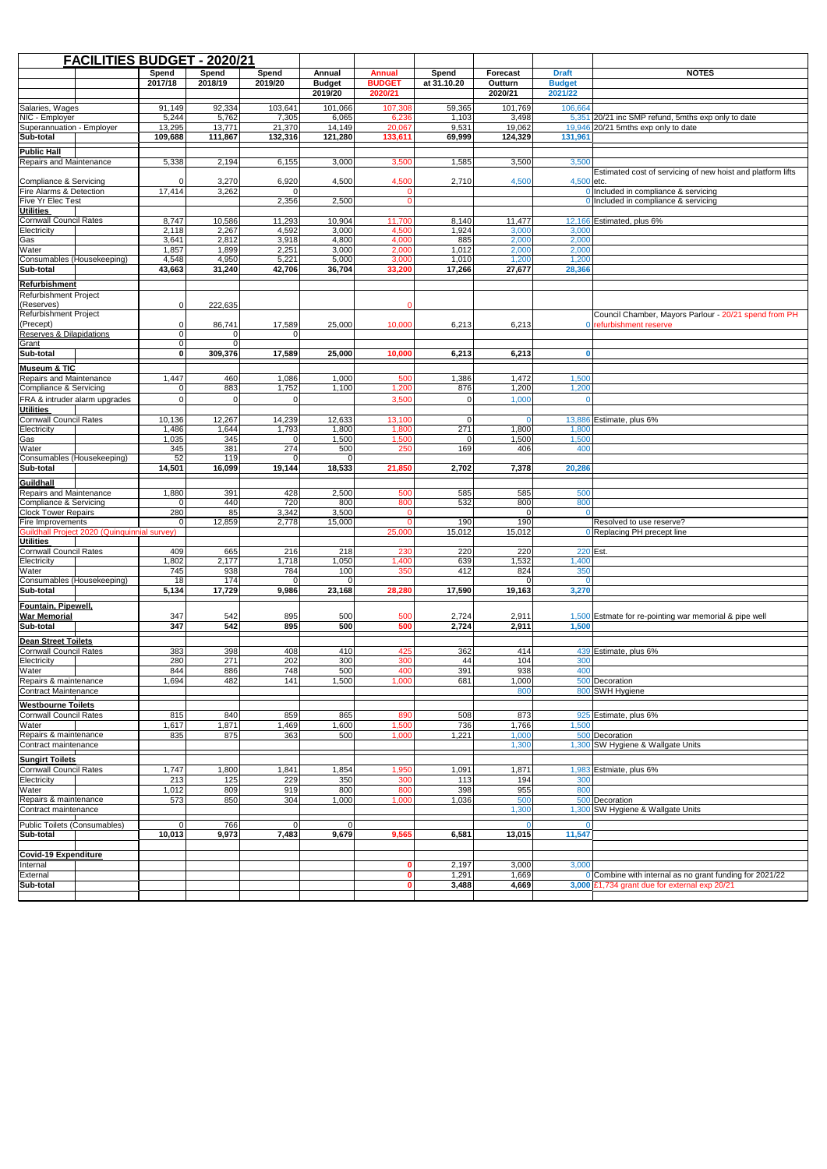| <b>FACILITIES BUDGET - 2020/21</b>               |                                              |                      |                 |                         |                 |                              |                    |                 |                |                                                                                             |
|--------------------------------------------------|----------------------------------------------|----------------------|-----------------|-------------------------|-----------------|------------------------------|--------------------|-----------------|----------------|---------------------------------------------------------------------------------------------|
|                                                  |                                              | Spend                | Spend           | Spend                   | Annual          | <b>Annual</b>                | Spend              | Forecast        | <b>Draft</b>   | <b>NOTES</b>                                                                                |
|                                                  |                                              | 2017/18              | 2018/19         | 2019/20                 | <b>Budget</b>   | <b>BUDGET</b>                | at 31.10.20        | Outturn         | <b>Budget</b>  |                                                                                             |
|                                                  |                                              |                      |                 |                         | 2019/20         | 2020/21                      |                    | 2020/21         | 2021/22        |                                                                                             |
| Salaries, Wages                                  |                                              | 91,149               | 92,334          | 103,641                 | 101,066         | 107,308                      | 59,365             | 101.769         | 106,664        |                                                                                             |
| NIC - Employer<br>Superannuation - Employer      |                                              | 5,244<br>13,295      | 5,762<br>13,771 | 7,305<br>21,370         | 6,065<br>14,149 | 6,236<br>20,067              | 1,103<br>9,531     | 3,498<br>19,062 |                | 5,351 20/21 inc SMP refund, 5mths exp only to date<br>$19,946$ 20/21 5mths exp only to date |
| Sub-total                                        |                                              | 109,688              | 111,867         | 132,316                 | 121,280         | 133,611                      | 69,999             | 124,329         | 131,961        |                                                                                             |
| <b>Public Hall</b>                               |                                              |                      |                 |                         |                 |                              |                    |                 |                |                                                                                             |
| Repairs and Maintenance                          |                                              | 5,338                | 2,194           | 6,155                   | 3,000           | 3,500                        | 1,585              | 3,500           | 3.500          |                                                                                             |
|                                                  |                                              |                      |                 |                         |                 |                              |                    |                 |                | Estimated cost of servicing of new hoist and platform lifts                                 |
| Compliance & Servicing                           |                                              | $\Omega$             | 3,270           | 6,920                   | 4,500           | 4,500                        | 2,710              | 4,500           | $4,500$ etc.   |                                                                                             |
| Fire Alarms & Detection<br>Five Yr Elec Test     |                                              | 17,414               | 3,262           | $\Omega$<br>2,356       | 2,500           | $\mathbf{0}$<br>$\mathbf{0}$ |                    |                 |                | 0 Included in compliance & servicing<br>0 Included in compliance & servicing                |
| <b>Utilities</b>                                 |                                              |                      |                 |                         |                 |                              |                    |                 |                |                                                                                             |
| <b>Cornwall Council Rates</b>                    |                                              | 8,747                | 10,586          | 11,293                  | 10,904          | 11,700                       | 8,140              | 11,477          |                | 12,166 Estimated, plus 6%                                                                   |
| Electricity                                      |                                              | 2,118                | 2,267           | 4,592                   | 3,000           | 4,500                        | 1,924              | 3,000           | 3,000          |                                                                                             |
| Gas<br>Water                                     |                                              | 3,641<br>1,857       | 2,812<br>1,899  | 3,918<br>2,251          | 4,800<br>3,000  | 4,000<br>2,000               | 885<br>1,012       | 2,000<br>2,000  | 2,000<br>2,000 |                                                                                             |
| Consumables (Housekeeping)                       |                                              | 4,548                | 4,950           | 5,221                   | 5,000           | 3,000                        | 1,010              | 1,200           | 1,200          |                                                                                             |
| Sub-total                                        |                                              | 43,663               | 31,240          | 42,706                  | 36,704          | 33,200                       | 17,266             | 27,677          | 28,366         |                                                                                             |
| <b>Refurbishment</b>                             |                                              |                      |                 |                         |                 |                              |                    |                 |                |                                                                                             |
| Refurbishment Project                            |                                              |                      |                 |                         |                 |                              |                    |                 |                |                                                                                             |
| (Reserves)                                       |                                              | $\Omega$             | 222,635         |                         |                 |                              |                    |                 |                |                                                                                             |
| Refurbishment Project                            |                                              |                      |                 |                         |                 |                              |                    |                 |                | Council Chamber, Mayors Parlour - 20/21 spend from PH                                       |
| (Precept)                                        |                                              | $\Omega$             | 86,741          | 17,589<br>$\Omega$      | 25,000          | 10,000                       | 6,213              | 6,213           |                | 0 refurbishment reserve                                                                     |
| <b>Reserves &amp; Dilapidations</b><br>Grant     |                                              | $\Omega$<br>$\Omega$ | 0<br>$\Omega$   |                         |                 |                              |                    |                 |                |                                                                                             |
| Sub-total                                        |                                              | $\mathbf{0}$         | 309,376         | 17,589                  | 25,000          | 10,000                       | 6,213              | 6,213           | $\mathbf{0}$   |                                                                                             |
| <b>Museum &amp; TIC</b>                          |                                              |                      |                 |                         |                 |                              |                    |                 |                |                                                                                             |
| Repairs and Maintenance                          |                                              | 1,447                | 460             | 1,086                   | 1,000           | 500                          | 1,386              | 1,472           | 1,500          |                                                                                             |
| Compliance & Servicing                           |                                              | $\mathbf 0$          | 883             | 1,752                   | 1,100           | 1,200                        | 876                | 1,200           | 1,200          |                                                                                             |
|                                                  | FRA & intruder alarm upgrades                | $\Omega$             | 0               | $\Omega$                |                 | 3,500                        | $\Omega$           | 1,000           |                |                                                                                             |
| <b>Utilities</b>                                 |                                              |                      |                 |                         |                 |                              |                    |                 |                |                                                                                             |
| <b>Cornwall Council Rates</b>                    |                                              | 10,136               | 12,267          | 14,239                  | 12,633          | 13,100                       | 0                  | $\overline{0}$  |                | 13,886 Estimate, plus 6%                                                                    |
| Electricity<br>Gas                               |                                              | 1,486<br>1,035       | 1,644<br>345    | 1,793<br>$\overline{0}$ | 1,800<br>1,500  | 1,800<br>1,500               | 271<br>$\mathbf 0$ | 1,800<br>1,500  | 1,800<br>1,500 |                                                                                             |
| Water                                            |                                              | 345                  | 381             | 274                     | 500             | 250                          | 169                | 406             | 400            |                                                                                             |
| Consumables (Housekeeping)                       |                                              | 52                   | 119             | $\Omega$                | $\Omega$        |                              |                    |                 |                |                                                                                             |
| Sub-total                                        |                                              | 14,501               | 16,099          | 19,144                  | 18,533          | 21,850                       | 2,702              | 7,378           | 20,286         |                                                                                             |
| Guildhall                                        |                                              |                      |                 |                         |                 |                              |                    |                 |                |                                                                                             |
| Repairs and Maintenance                          |                                              | 1,880                | 391             | 428                     | 2,500           | 500                          | 585                | 585             | 500            |                                                                                             |
| <b>Compliance &amp; Servicing</b>                |                                              | $\Omega$             | 440             | 720                     | 800             | 800                          | 532                | 800             | 800            |                                                                                             |
| <b>Clock Tower Repairs</b><br>Fire Improvements  |                                              | 280<br>$\Omega$      | 85<br>12,859    | 3,342<br>2,778          | 3,500<br>15,000 | 0<br>$\Omega$                | 190                | $\Omega$<br>190 |                | Resolved to use reserve?                                                                    |
|                                                  | Guildhall Project 2020 (Quinquinnial survey) |                      |                 |                         |                 | 25,000                       | 15,012             | 15,012          |                | 0 Replacing PH precept line                                                                 |
| <b>Utilities</b>                                 |                                              |                      |                 |                         |                 |                              |                    |                 |                |                                                                                             |
| <b>Cornwall Council Rates</b>                    |                                              | 409                  | 665             | 216                     | 218             | 230                          | 220                | 220             | 220 Est.       |                                                                                             |
| Electricity                                      |                                              | 1,802<br>745         | 2,177<br>938    | 1,718<br>784            | 1,050<br>100    | 1,400<br>350                 | 639<br>412         | 1,532<br>824    | 1,400<br>350   |                                                                                             |
| Water<br>Consumables (Housekeeping)              |                                              | 18                   | 174             | $\Omega$                | $\Omega$        |                              |                    | $\Omega$        |                |                                                                                             |
| Sub-total                                        |                                              | 5,134                | 17,729          | 9,986                   | 23,168          | 28,280                       | 17,590             | 19,163          | 3,270          |                                                                                             |
| Fountain, Pipewell,                              |                                              |                      |                 |                         |                 |                              |                    |                 |                |                                                                                             |
| <b>War Memorial</b>                              |                                              | 347                  | 542             | 895                     | 500             | 500                          | 2,724              | 2,911           |                | 1,500 Estmate for re-pointing war memorial & pipe well                                      |
| Sub-total                                        |                                              | 347                  | 542             | 895                     | 500             | 500                          | 2,724              | 2,911           | 1,500          |                                                                                             |
| <b>Dean Street Toilets</b>                       |                                              |                      |                 |                         |                 |                              |                    |                 |                |                                                                                             |
| Cornwall Council Rates                           |                                              | 383                  | 398             | 408                     | 410             | 425                          | 362                | 414             |                | 439 Estimate, plus 6%                                                                       |
| Electricity                                      |                                              | 280                  | 271             | 202                     | 300             | 300                          | 44                 | 104             | 300            |                                                                                             |
| Water                                            |                                              | 844                  | 886             | 748                     | 500             | 400                          | 391                | 938             | 400            |                                                                                             |
| Repairs & maintenance                            |                                              | 1,694                | 482             | 141                     | 1,500           | 1,000                        | 681                | 1,000           |                | 500 Decoration                                                                              |
| <b>Contract Maintenance</b>                      |                                              |                      |                 |                         |                 |                              |                    | 800             |                | 800 SWH Hygiene                                                                             |
| <b>Westbourne Toilets</b>                        |                                              |                      |                 |                         |                 |                              |                    |                 |                |                                                                                             |
| <b>Cornwall Council Rates</b>                    |                                              | 815                  | 840             | 859                     | 865             | 890                          | 508                | 873             |                | 925 Estimate, plus 6%                                                                       |
| Water<br>Repairs & maintenance                   |                                              | 1,617<br>835         | 1,871<br>875    | 1,469<br>363            | 1,600<br>500    | 1,500<br>1,000               | 736<br>1,221       | 1,766<br>1,000  | 1,500          | 500 Decoration                                                                              |
| Contract maintenance                             |                                              |                      |                 |                         |                 |                              |                    | 1,300           |                | 1,300 SW Hygiene & Wallgate Units                                                           |
|                                                  |                                              |                      |                 |                         |                 |                              |                    |                 |                |                                                                                             |
| <b>Sungirt Toilets</b><br>Cornwall Council Rates |                                              | 1,747                | 1,800           | 1,841                   | 1,854           | 1,950                        | 1,091              | 1,871           |                | 1,983 Estmiate, plus 6%                                                                     |
| Electricity                                      |                                              | 213                  | 125             | 229                     | 350             | 300                          | 113                | 194             | 300            |                                                                                             |
| Water                                            |                                              | 1,012                | 809             | 919                     | 800             | 800                          | 398                | 955             | 800            |                                                                                             |
| Repairs & maintenance                            |                                              | 573                  | 850             | 304                     | 1,000           | 1,000                        | 1,036              | 500             |                | 500 Decoration                                                                              |
| Contract maintenance                             |                                              |                      |                 |                         |                 |                              |                    | 1,300           |                | 1,300 SW Hygiene & Wallgate Units                                                           |
| Public Toilets (Consumables)                     |                                              | $\overline{0}$       | 766             | $\overline{0}$          | $\overline{0}$  |                              |                    | $\Omega$        |                |                                                                                             |
| Sub-total                                        |                                              | 10,013               | 9,973           | 7,483                   | 9,679           | 9,565                        | 6,581              | 13,015          | 11,547         |                                                                                             |
|                                                  |                                              |                      |                 |                         |                 |                              |                    |                 |                |                                                                                             |
| <b>Covid-19 Expenditure</b><br>Internal          |                                              |                      |                 |                         |                 |                              |                    |                 |                |                                                                                             |
| External                                         |                                              |                      |                 |                         |                 | 0<br>$\mathbf{0}$            | 2,197<br>1,291     | 3,000<br>1,669  | 3,000          | 0 Combine with internal as no grant funding for 2021/22                                     |
| Sub-total                                        |                                              |                      |                 |                         |                 | $\mathbf{0}$                 | 3,488              | 4,669           |                | 3,000 £1,734 grant due for external exp 20/21                                               |
|                                                  |                                              |                      |                 |                         |                 |                              |                    |                 |                |                                                                                             |